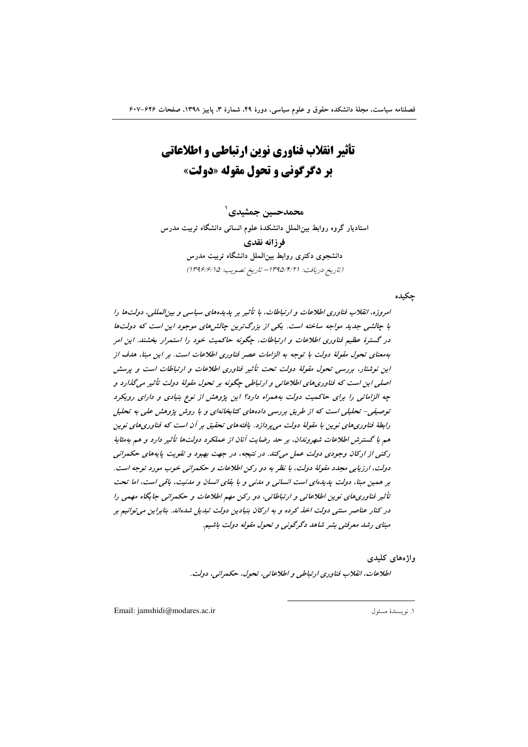تأثیر انقلاب فناوری نوین ارتباطی و اطلاعاتی **ير دگرگوني و تحول مقوله «دولت»** 

محمدحسين جمشيدي` استادیار گروه روابط بین الملل دانشکدهٔ علوم انسانی دانشگاه تربیت مدرس فرزانه نقدى دانشجوی دکتری روابط بینالملل دانشگاه تربیت مدرس (تاريخ دريافت: ١٣٩٥/٢/٢١ - تاريخ تصويب: ١٣٩۶/٤/١٥)

جكيده

امروزه، انقلاب فناوری اطلاعات و ارتباطات، با تأثیر بر پدیدههای سیاسی و بین المللی، دولتها را با چالشی جدید مواجه ساخته است. یکی از بزرگ ترین چالش های موجود این است که دولتها در گسترهٔ عظیم فناوری اطلاعات و ارتباطات، چگونه حاکمیت خود را استمرار بخشند. این امر بهمعنای تحول مقولهٔ دولت با توجه به الزامات عصر فناوری اطلاعات است. بر این مبنا، هدف از این نوشتار، بررسی تحول مقولهٔ دولت تحت تأثیر فناوری اطلاعات و ارتباطات است و پرسش اصلی این است که فناوری های اطلاعاتی و ارتباطی چگونه بر تحول مقولهٔ دولت تأثیر می گذارد و چه الزاماتی را برای حاکمیت دولت به همراه دارد؟ این پژوهش از نوع بنیادی و دارای رویکرد توصیفی- تحلیلی است که از طریق بررسی دادههای کتابخانهای و با روش پژوهش علی به تحلیل رابطهٔ فناوریهای نوین با مقولهٔ دولت می پردازد. یافتههای تحقیق بر آن است که فناوریهای نوین هم با گسترش اطلاعات شهروندان، بر حد رضایت آنان از عملکرد دولتها تأثیر دارد و هم به مثابهٔ رکنی از ارکان وجودی دولت عمل میکند. در نتیجه، در جهت بهبود و تقویت پایههای حکمرانی دولت، ارزيابي مجدد مقولهٔ دولت، با نظر به دو رکن اطلاعات و حکمراني خوب مورد توجه است. بر همین مبنا، دولت پدیدهای است انسانی و مدنی و با بقای انسان و مدنیت، باقی است، اما تحت تأثیر فناوری های نوین اطلاعاتی و ارتباطاتی، دو رکن مهم اطلاعات و حکمرانی جایگاه مهمی را در کنار عناصر سنتی دولت اخذ کرده و به ارکان بنیادین دولت تبدیل شدهاند. بنابراین می توانیم بر مبنای رشد معرفتی بشر شاهد دگرگونی و تحول مقوله دولت باشیم.

واژەهاي كليدى

اطلاعات، انقلاب فناوري ارتباطي و اطلاعاتي، تحول، حكمراني، دولت.

Email: jamshidi@modares.ac.ir

١. نويسندة مسئول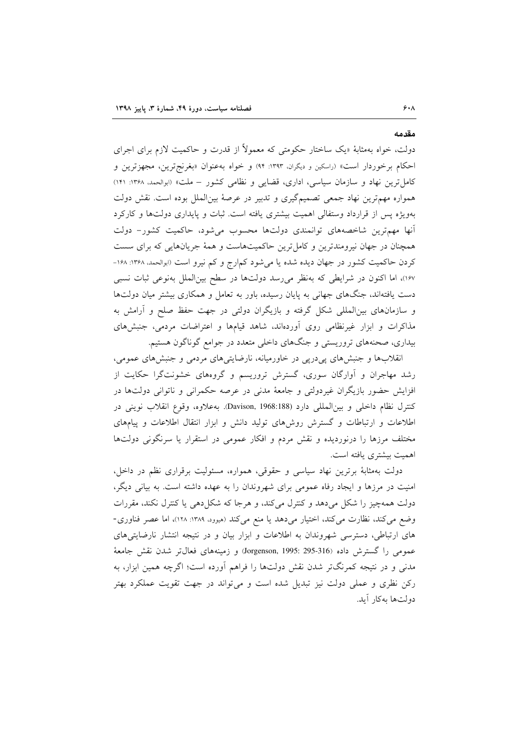دولت، خواه بهمثابهٔ «یک ساختار حکومتی که معمولاً از قدرت و حاکمیت لازم برای اجرای احکام برخوردار است» (راسکین و دیگران، ۱۳۹۳: ۹۴) و خواه به عنوان «بغرنجترین، مجهزترین و کامل ترین نهاد و سازمان سیاسی، اداری، قضایی و نظامی کشور – ملت» (ابوالحمد، ۱۳۶۸: ۱۴۱) همواره مهمترین نهاد جمعی تصمیمگیری و تدبیر در عرصهٔ بینالملل بوده است. نقش دولت بهویژه پس از قرارداد وستفالی اهمیت بیشتری یافته است. ثبات و پایداری دولتها و کارکرد آنها مهم ترین شاخصههای توانمندی دولتها محسوب می شود، حاکمیت کشور- دولت همچنان در جهان نیرومندترین و کامل ترین حاکمیتهاست و همهٔ جریانهایی که برای سست کردن حاکمیت کشور در جهان دیده شده یا میشود کمارج و کم نیرو است «بوالحمد. ۱۳۶۸: ۱۶۸-۱۶۷)، اما اکنون در شرایطی که بهنظر میرسد دولتها در سطح بینالملل بهنوعی ثبات نسبی دست یافتهاند، جنگهای جهانی به پایان رسیده، باور به تعامل و همکاری بیشتر میان دولتها و سازمانهای بین|لمللی شکل گرفته و بازیگران دولتی در جهت حفظ صلح و آرامش به مذاکرات و ابزار غیرنظامی روی آوردهاند، شاهد قیامها و اعتراضات مردمی، جنبشهای بیداری، صحنههای تروریستی و جنگهای داخلی متعدد در جوامع گوناگون هستیم.

انقلابها و جنبش های پیدرپی در خاورمیانه، نارضایتیهای مردمی و جنبش های عمومی، رشد مهاجران و اَوارگان سوری، گسترش تروریسم و گروههای خشونتگرا حکایت از افزایش حضور بازیگران غیردولتی و جامعهٔ مدنی در عرصه حکمرانی و ناتوانی دولتها در كنترل نظام داخلي و بين المللي دارد (Davison, 1968:188). به علاوه، وقوع انقلاب نويني در اطلاعات و ارتباطات و گسترش روشهای تولید دانش و ابزار انتقال اطلاعات و پیامهای مختلف مرزها را درنوردیده و نقش مردم و افکار عمومی در استقرار یا سرنگونی دولتها اهمیت بیشتری یافته است.

دولت بهمثابهٔ برترین نهاد سیاسی و حقوقی، همواره، مسئولیت برقراری نظم در داخل، امنیت در مرزها و ایجاد رفاه عمومی برای شهروندان را به عهده داشته است. به بیانی دیگر، دولت همهچیز را شکل میدهد و کنترل میکند، و هرجا که شکل(هی یا کنترل نکند، مقررات وضع می کند، نظارت می کند، اختیار میدهد یا منع می کند (هیوود ١٣٨٩: ١٢٨)، اما عصر فناوری-های ارتباطی، دسترسی شهروندان به اطلاعات و ابزار بیان و در نتیجه انتشار نارضایتیهای عمومي را گسترش داده (Jorgenson, 1995: 295-316) و زمينههاي فعالpتر شدن نقش جامعهٔ مدنی و در نتیجه کمرنگتر شدن نقش دولتها را فراهم آورده است؛ اگرچه همین ابزار، به رکن نظری و عملی دولت نیز تبدیل شده است و می تواند در جهت تقویت عملکرد بهتر دولتها بهكار آيد.

مقدمه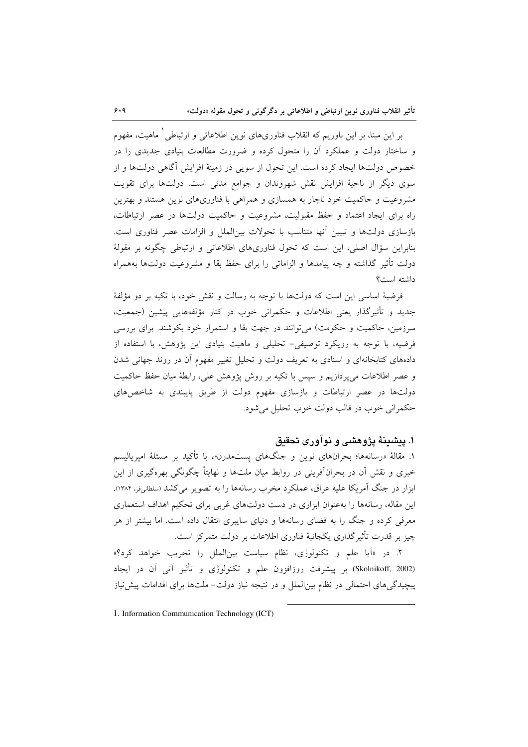بر این مبنا، بر این باوریم که انقلاب فناوریهای نوین اطلاعاتی و ارتباطی ٰ ماهیت، مفهوم و ساختار دولت و عملکرد آن را متحول کرده و ضرورت مطالعات بنیادی جدیدی را در خصوص دولتها ایجاد کرده است. این تحول از سویی در زمینهٔ افزایش آگاهی دولتها و از سوی دیگر از ناحیهٔ افزایش نقش شهروندان و جوامع مدنی است. دولتها برای تقویت مشروعیت و حاکمیت خود ناچار به همسازی و همراهی با فناوریهای نوین هستند و بهترین راه برای ایجاد اعتماد و حفظ مقبولیت، مشروعیت و حاکمیت دولتها در عصر ارتباطات، بازسازی دولتها و تبیین آنها متناسب با تحولات بینالملل و الزامات عصر فناوری است. بنابراین سؤال اصلی، این است که تحول فناوریهای اطلاعاتی و ارتباطی چگونه بر مقولهٔ دولت تأثير گذاشته و چه ييامدها و الزاماتي را براي حفظ بقا و مشروعيت دولتها بههمراه داشته است؟

فرضيهٔ اساسي اين است كه دولتها با توجه به رسالت و نقش خود، با تكيه بر دو مؤلفهٔ جدید و تأثیرگذار یعنی اطلاعات و حکمرانی خوب در کنار مؤلفههایی پیشین (جمعیت، سرزمین، حاکمیت و حکومت) میتوانند در جهت بقا و استمرار خود بکوشند. برای بررسی فرضیه، با توجه به رویکرد توصیفی- تحلیلی و ماهیت بنیادی این پژوهش، با استفاده از دادههای کتابخانهای و اسنادی به تعریف دولت و تحلیل تغییر مفهوم آن در روند جهانی شدن و عصر اطلاعات می پردازیم و سپس با تکیه بر روش پژوهش علی، رابطهٔ میان حفظ حاکمیت دولتها در عصر ارتباطات و بازسازی مفهوم دولت از طریق پایبندی به شاخصهای حکمراني خوب در قالب دولت خوب تحليل مي شود.

## ۱. پیشینهٔ پژوهشی و نوآوری تحقیق

۱. مقالهٔ «رسانهها؛ بحرانهای نوین و جنگهای پستمدرن»، با تأکید بر مسئلهٔ امیریالیسم خبری و نقش آن در بحرانآفرینی در روابط میان ملتها و نهایتاً چگونگی بهرهگیری از این ابزار در جنگ آمریکا علیه عراق، عملکرد مخرب رسانهها را به تصویر می کشد (سلطانیفر، ۱۳۸۴). این مقاله، رسانهها را بهعنوان ایزاری در دست دولتهای غربی برای تحکیم اهداف استعماری معرفی کرده و جنگ را به فضای رسانهها و دنیای سایبری انتقال داده است. اما بیشتر از هر چیز بر قدرت تأثیرگذاری یکجانبهٔ فناوری اطلاعات بر دولت متمرکز است.

۲. در «اَیا علم و تکنولوژی، نظام سیاست بینالملل را تخریب خواهد کرد؟» (Skolnikoff, 2002) بر پیشرفت روزافزون علم و تکنولوژی و تأثیر آتی آن در ایجاد پیچیدگی های احتمالی در نظام بین|لملل و در نتیجه نیاز دولت− ملتها برای اقدامات پیش نیاز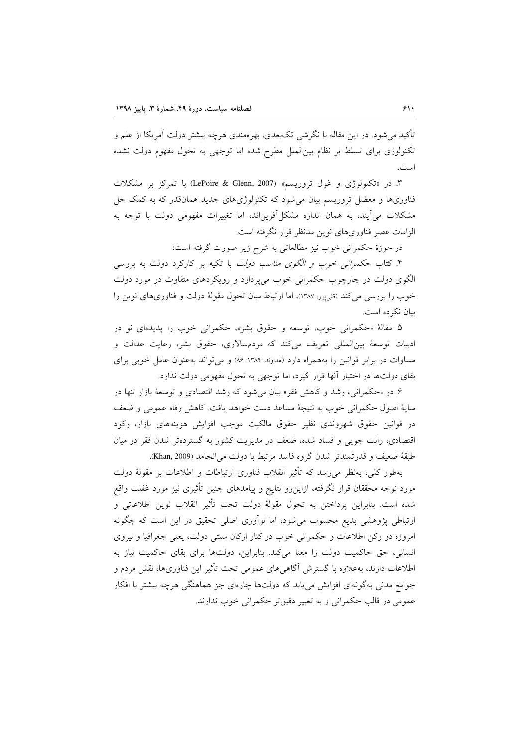تأکید می شود. در این مقاله با نگرشی تکبعدی، بهرهمندی هرچه بیشتر دولت آمریکا از علم و تکنولوژی برای تسلط بر نظام بین|لملل مطرح شده اما توجهی به تحول مفهوم دولت نشده است.

۳. در «تکنولوژی و غول تروریسم» (LePoire & Glenn, 2007) با تمرکز بر مشکلات فناوریها و معضل تروریسم بیان میشود که تکنولوژیهای جدید همانقدر که به کمک حل مشکلات میآیند، به همان اندازه مشکل آفریناند، اما تغییرات مفهومی دولت با توجه به الزامات عصر فناوريهاي نوين مدنظر قرار نگرفته است.

در حوزهٔ حکمرانی خوب نیز مطالعاتی به شرح زیر صورت گرفته است:

۴. کتاب ح*کمرانی خوب و الگوی مناسب دولت* با تکیه بر کارکرد دولت به بررسی الگوی دولت در چارچوب حکمرانی خوب می پردازد و رویکردهای متفاوت در مورد دولت خوب را بررسی می کند (قلب پور، ۱۳۸۷)، اما ارتباط میان تحول مقولهٔ دولت و فناوریهای نوین را بیان نکرده است.

۵. مقالهٔ «حکمرانی خوب، توسعه و حقوق بشر»، حکمرانی خوب را پدیدهای نو در ادبیات توسعهٔ بینالمللی تعریف میکند که مردمسالاری، حقوق بشر، رعایت عدالت و مساوات در برابر قوانین را بههمراه دارد (هداوند، ۱۳۸۴: ۸۶) و می تواند بهعنوان عامل خوبی برای بقای دولتها در اختیار آنها قرار گیرد، اما توجهی به تحول مفهومی دولت ندارد.

۶. در «حکمرانی، رشد و کاهش فقر» بیان میشود که رشد اقتصادی و توسعهٔ بازار تنها در سایهٔ اصول حکمرانی خوب به نتیجهٔ مساعد دست خواهد یافت. کاهش رفاه عمومی و ضعف در قوانین حقوق شهروندی نظیر حقوق مالکیت موجب افزایش هزینههای بازار، رکود اقتصادی، رانت جویبی و فساد شده، ضعف در مدیریت کشور به گستردهتر شدن فقر در میان طبقة ضعيف و قدرتمندتر شدن گروه فاسد مرتبط با دولت مي انجامد (Khan, 2009).

بهطور کلی، بهنظر می رسد که تأثیر انقلاب فناوری ارتباطات و اطلاعات بر مقولهٔ دولت مورد توجه محققان قرار نگرفته، ازاین٫و نتایج و پیامدهای چنین تأثیری نیز مورد غفلت واقع شده است. بنابراین پرداختن به تحول مقولهٔ دولت تحت تأثیر انقلاب نوین اطلاعاتی و ارتباطی پژوهشی بدیع محسوب می شود، اما نوآوری اصلی تحقیق در این است که چگونه امروزه دو رکن اطلاعات و حکمرانی خوب در کنار ارکان سنتی دولت، یعنی جغرافیا و نیروی انسانی، حق حاکمیت دولت را معنا میکند. بنابراین، دولتها برای بقای حاکمیت نیاز به اطلاعات دارند، بهعلاوه با گسترش آگاهی های عمومی تحت تأثیر این فناوریها، نقش مردم و جوامع مدنی بهگونهای افزایش می یابد که دولتها چارهای جز هماهنگی هرچه بیشتر با افکار عمومي در قالب حكمراني و به تعبير دقيقتر حكمراني خوب ندارند.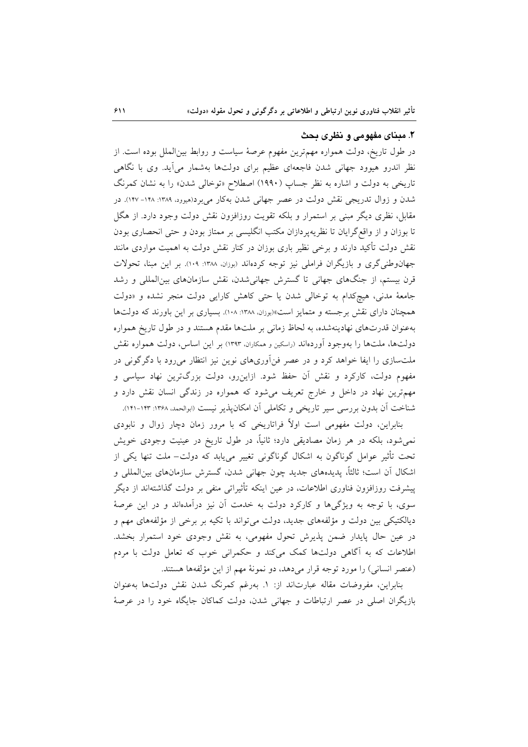### ۲. مدنای مفهومی و نظری بحث

در طول تاریخ، دولت همواره مهمترین مفهوم عرصهٔ سیاست و روابط بینالملل بوده است. از نظر اندرو هیوود جهانی شدن فاجعهای عظیم برای دولتها بهشمار میآید. وی با نگاهی تاریخی به دولت و اشاره به نظر جساپ (۱۹۹۰) اصطلاح «توخالی شدن» را به نشان کمرنگ شدن و زوال تدریجی نقش دولت در عصر جهانی شدن بهکار میبرد(هیوود. ۱۳۸۹: ۱۴۸-۱۴۷). در مقابل، نظری دیگر مبنی بر استمرار و بلکه تقویت روزافزون نقش دولت وجود دارد. از هگل تا بوزان و از واقع گرایان تا نظریهپردازان مکتب انگلیسی بر ممتاز بودن و حتی انحصاری بودن نقش دولت تأکید دارند و برخی نظیر باری بوزان در کنار نقش دولت به اهمیت مواردی مانند جهانوطنی گری و بازیگران فراملی نیز توجه کردهاند (بوزان، ۱۳۸۸: ۱۰۹). بر این مبنا، تحولات قرن بیستم، از جنگهای جهانی تا گسترش جهانی شدن، نقش سازمانهای بینالمللی و رشد جامعهٔ مدنی، هیچکدام به توخالی شدن یا حتی کاهش کارایی دولت منجر نشده و «دولت همچنان دارای نقش برجسته و متمایز است»(بوزان، ۱۳۸۸: ۱۰۸). بسیاری بر این باورند که دولتها بهعنوان قدرتهای نهادینهشده، به لحاظ زمانی بر ملتها مقدم هستند و در طول تاریخ همواره دولتها، ملتها را بهوجود آوردهاند (راسكين و همكاران، ١٣٩٣) بر اين اساس، دولت همواره نقش ملتسازی را ایفا خواهد کرد و در عصر فنآوریهای نوین نیز انتظار می رود با دگرگونی در مفهوم دولت، کارکرد و نقش آن حفظ شود. ازاین٫رو، دولت بزرگترین نهاد سیاسی و مهمترین نهاد در داخل و خارج تعریف میشود که همواره در زندگی انسان نقش دارد و شناخت آن بدون بررسی سیر تاریخی و تکاملی آن امکانپذیر نیست (ابوالحمد، ۱۳۶۸: ۱۲۳–۱۲۱).

بنابراین، دولت مفهومی است اولاً فراتاریخی که با مرور زمان دچار زوال و نابودی نمی شود، بلکه در هر زمان مصادیقی دارد؛ ثانیاً، در طول تاریخ در عینیت وجودی خویش تحت تأثیر عوامل گوناگون به اشکال گوناگونی تغییر می،یابد که دولت– ملت تنها یکی از اشكال أن است؛ ثالثاً، پديدههاي جديد چون جهاني شدن، گسترش سازمانهاي بينالمللي و پیشرفت روزافزون فناوری اطلاعات، در عین اینکه تأثیراتی منفی بر دولت گذاشتهاند از دیگر سوی، با توجه به ویژگیها و کارکرد دولت به خدمت آن نیز درآمدهاند و در این عرصهٔ دیالکتیکی بین دولت و مؤلفههای جدید، دولت می تواند با تکیه بر برخی از مؤلفههای مهم و در عین حال پایدار ضمن پذیرش تحول مفهومی، به نقش وجودی خود استمرار بخشد. اطلاعات که به آگاهی دولتها کمک میکند و حکمرانی خوب که تعامل دولت با مردم (عنصر انسانی) را مورد توجه قرار میدهد، دو نمونهٔ مهم از این مؤلفهها هستند.

بنابراین، مفروضات مقاله عبارتاند از: ١. بهرغم كمرنگ شدن نقش دولتها بهعنوان بازیگران اصلی در عصر ارتباطات و جهانی شدن، دولت کماکان جایگاه خود را در عرصهٔ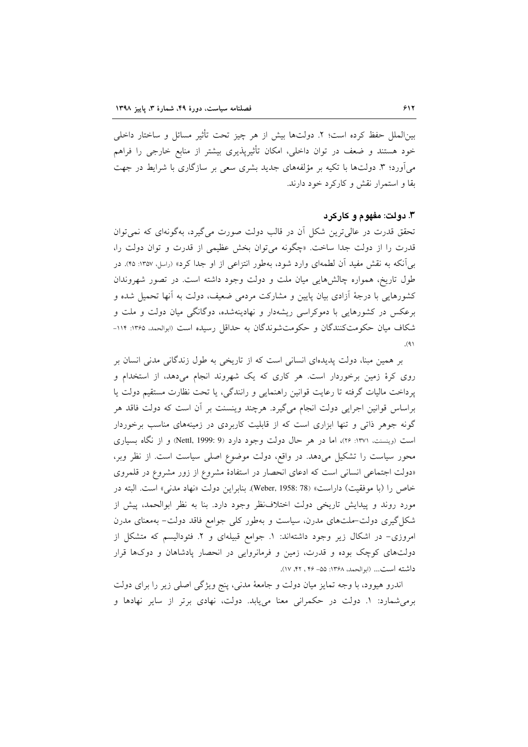بين|لملل حفظ كرده است؛ ٢. دولتها بيش از هر چيز تحت تأثير مسائل و ساختار داخلي خود هستند و ضعف در توان داخلی، امکان تأثیریذیری بیشتر از منابع خارجی را فراهم میآورد؛ ۳. دولتها با تکیه بر مؤلفههای جدید بشری سعی بر سازگاری با شرایط در جهت بقا و استمرار نقش و کارکرد خود دارند.

#### ۳. دولت: مفهوم و کارکرد

تحقق قدرت در عالی ترین شکل آن در قالب دولت صورت می گیرد، بهگونهای که نمی توان قدرت را از دولت جدا ساخت. «چگونه می توان بخش عظیمی از قدرت و توان دولت را، به ٍ آنکه به نقش مفید آن لطمهای وارد شود، بهطور انتزاعی از او جدا کرد» (راسل، ۱۳۵۷: ۴۵). در طول تاریخ، همواره چالشهایی میان ملت و دولت وجود داشته است. در تصور شهروندان کشورهایی با درجهٔ اَزادی بیان پایین و مشارکت مردمی ضعیف، دولت به اَنها تحمیل شده و برعکس در کشورهایی با دموکراسی ریشهدار و نهادینهشده، دوگانگی میان دولت و ملت و شکاف میان حکومتکنندگان و حکومتشوندگان به حداقل رسیده است (ابوالحمد، ۱۲۶۵: ۱۱۴- $(9)$ 

بر همین مبنا، دولت پدیدهای انسانی است که از تاریخی به طول زندگانی مدنی انسان بر روی کرهٔ زمین برخوردار است. هر کاری که یک شهروند انجام میدهد، از استخدام و پرداخت ماليات گرفته تا رعايت قوانين راهنمايي و رانندگي، يا تحت نظارت مستقيم دولت يا براساس قوانین اجرایی دولت انجام میگیرد. هرچند وینسنت بر آن است که دولت فاقد هر گونه جوهر ذاتی و تنها ابزاری است که از قابلیت کاربردی در زمینههای مناسب برخوردار است (وینسنت، ۱۳۷۱: ۲۶)، اما در هر حال دولت وجود دارد (Nettl, 1999: 9) و از نگاه بسیاری محور سیاست را تشکیل میدهد. در واقع، دولت موضوع اصلی سیاست است. از نظر وبر، «دولت اجتماعی انسانی است که ادعای انحصار در استفادهٔ مشروع از زور مشروع در قلمروی خاص را (با موفقيت) داراست» (Weber, 1958: 78). بنابراين دولت «نهاد مدنى» است. البته در مورد روند و پیدایش تاریخی دولت اختلاف نظر وجود دارد. بنا به نظر ابوالحمد، پیش از شکل گیری دولت–ملتهای مدرن، سیاست و بهطور کلی جوامع فاقد دولت– بهمعنای مدرن امروزی- در اشکال زیر وجود داشتهاند: ١. جوامع قبیلهای و ٢. فئودالیسم که متشکل از دولتهای کوچک بوده و قدرت، زمین و فرمانروایی در انحصار پادشاهان و دوکها قرار داشته است... (ابوالحمد، ۱۳۶۸: ۵۵– ۴۶، ۲۲، ۱۷).

اندرو هیوود، با وجه تمایز میان دولت و جامعهٔ مدنی، پنج ویژگی اصلی زیر را برای دولت برمی شمارد: ۱. دولت در حکمرانی معنا می یابد. دولت، نهادی برتر از سایر نهادها و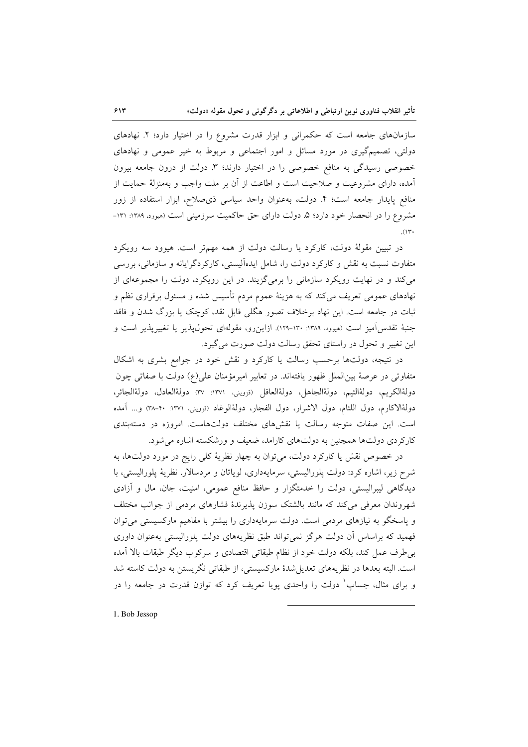سازمانهای جامعه است که حکمرانی و ابزار قدرت مشروع را در اختیار دارد؛ ۲. نهادهای دولتي، تصميمگيري در مورد مسائل و امور اجتماعي و مربوط به خير عمومي و نهادهاي خصوصی رسیدگی به منافع خصوصی را در اختیار دارند؛ ۳ دولت از درون جامعه بیرون آمده، دارای مشروعیت و صلاحیت است و اطاعت از آن بر ملت واجب و بهمنزلهٔ حمایت از منافع پایدار جامعه است؛ ۴. دولت، بهعنوان واحد سیاسی ذی صلاح، ابزار استفاده از زور مشروع را در انحصار خود دارد؛ ۵. دولت دارای حق حاکمیت سرزمینی است (میوود، ۱۳۸۹: ۱۳۱- $(11)$ 

در تبیین مقولهٔ دولت، کارکرد یا رسالت دولت از همه مهمتر است. هیوود سه رویکرد متفاوت نسبت به نقش و کارکرد دولت را، شامل ایدهآلیستی، کارکردگرایانه و سازمانی، بررسی می کند و در نهایت رویکرد سازمانی را برمیگزیند. در این رویکرد، دولت را مجموعهای از نهادهای عمومی تعریف میکند که به هزینهٔ عموم مردم تأسیس شده و مسئول برقراری نظم و ثبات در جامعه است. این نهاد برخلاف تصور هگلی قابل نقد، کوچک یا بزرگ شدن و فاقد جنبهٔ تقدس آمیز است (هیوود، ۱۳۸۹: ۱۳۰-۱۲۹). ازاین رو، مقولهای تحول یذیر یا تغییریذیر است و این تغییر و تحول در راستای تحقق رسالت دولت صورت می گیرد.

در نتیجه، دولتها برحسب رسالت یا کارکرد و نقش خود در جوامع بشری به اشکال متفاوتی در عرصهٔ بینالملل ظهور یافتهاند. در تعابیر امیرمؤمنان علی(ع) دولت با صفاتی چون دولةالكريم، دولةالئيم، دولةالجاهل، دولةالعاقل (قزويني، ١٣٧١: ٣٧) دولةالعادل، دولةالجائر، دولةالاكارم، دول اللئام، دول الاشرار، دول الفجار، دولةالوغاد (نزويني، ١٣٧١: ٣٠-٣٨) و... أمده است. این صفات متوجه رسالت یا نقشهای مختلف دولتهاست. امروزه در دستهبندی کارکردی دولتها همچنین به دولتهای کارامد، ضعیف و ورشکسته اشاره میشود.

در خصوص نقش یا کارکرد دولت، می توان به چهار نظریهٔ کلی رایج در مورد دولتها، به شرح زیر، اشاره کرد: دولت پلورالیستی، سرمایهداری، لویاتان و مردسالار. نظریهٔ پلورالیستی، با دیدگاهی لیبرالیستی، دولت را خدمتگزار و حافظ منافع عمومی، امنیت، جان، مال و آزادی شهروندان معرفی میکند که مانند بالشتک سوزن پذیرندهٔ فشارهای مردمی از جوانب مختلف و پاسخگو به نیازهای مردمی است. دولت سرمایهداری را بیشتر با مفاهیم مارکسیستی می توان فهمید که براساس آن دولت هرگز نمیتواند طبق نظریههای دولت پلورالیستی بهعنوان داوری بی طرف عمل کند، بلکه دولت خود از نظام طبقاتی اقتصادی و سرکوب دیگر طبقات بالا آمده است. البته بعدها در نظریههای تعدیل شدهٔ مارکسیستی، از طبقاتی نگریستن به دولت کاسته شد و برای مثال، جساب ٰ دولت را واحدی پویا تعریف کرد که توازن قدرت در جامعه را در

1. Bob Jessop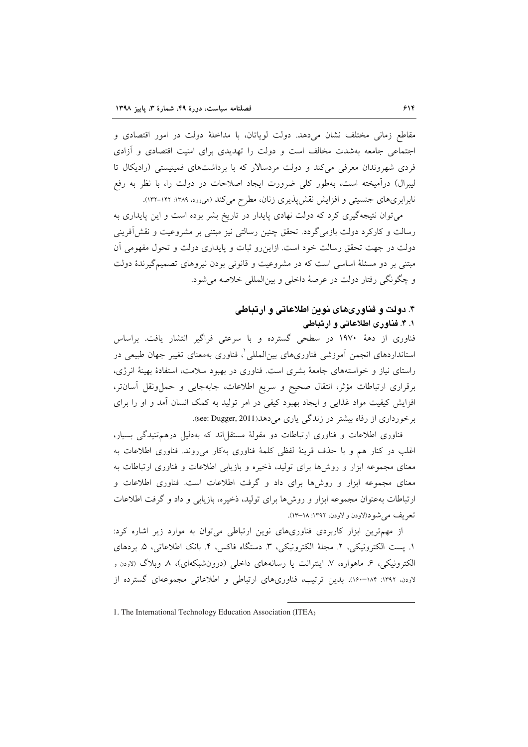مقاطع زمانی مختلف نشان میدهد. دولت لویاتان، با مداخلهٔ دولت در امور اقتصادی و اجتماعی جامعه بهشدت مخالف است و دولت را تهدیدی برای امنیت اقتصادی و آزادی فردی شهروندان معرفی میکند و دولت مردسالار که با برداشتهای فمینیستی (رادیکال تا لیبرال) درآمیخته است، بهطور کلی ضرورت ایجاد اصلاحات در دولت را، با نظر به رفع نابرابریهای جنسیتی و افزایش نقش پذیری زنان، مطرح میکند (می وود. ۱۳۸۹: ۱۳۲-۱۳۲).

می توان نتیجهگیری کرد که دولت نهادی پایدار در تاریخ بشر بوده است و این پایداری به رسالت و کارکرد دولت بازمی گردد. تحقق چنین رسالتی نیز مبتنی بر مشروعیت و نقش آفرینی دولت در جهت تحقق رسالت خود است. ازاین رو ثبات و پایداری دولت و تحول مفهومی آن مبتنی بر دو مسئلهٔ اساسی است که در مشروعیت و قانونی بودن نیروهای تصمیمگیرندهٔ دولت و چگونگی رفتار دولت در عرصهٔ داخلی و بین(لمللی خلاصه می شود.

# ۴. دولت و فناوریهای نوین اطلاعاتی و ارتباطی

۰. ۴. فناوری اطلاعاتی و ارتباطی فناوری از دههٔ ۱۹۷۰ در سطحی گسترده و با سرعتی فراگیر انتشار یافت. براساس استانداردهای انجمن آموزشی فناوریهای بین|لمللی ْ، فناوری بهمعنای تغییر جهان طبیعی در راستای نیاز و خواستههای جامعهٔ بشری است. فناوری در بهبود سلامت، استفادهٔ بهینهٔ انرژی، برقراري ارتباطات مؤثر، انتقال صحيح و سريع اطلاعات، جابهجايي و حملونقل أسانتر، افزایش کیفیت مواد غذایی و ایجاد بهبود کیفی در امر تولید به کمک انسان آمد و او را برای برخورداری از رفاه بیشتر در زندگی یاری می دهد(See: Dugger, 2011).

فناوری اطلاعات و فناوری ارتباطات دو مقولهٔ مستقل اند که بهدلیل درهم تنیدگی بسیار، اغلب در كنار هم و با حذف قرينهٔ لفظي كلمهٔ فناوري بهكار مي روند. فناوري اطلاعات به معنای مجموعه ابزار و روشها برای تولید، ذخیره و بازیابی اطلاعات و فناوری ارتباطات به معنای مجموعه ابزار و روشها برای داد و گرفت اطلاعات است. فناوری اطلاعات و ارتباطات بهعنوان مجموعه ابزار و روشها برای تولید، ذخیره، بازیابی و داد و گرفت اطلاعات تعريف مي شو د(لاودن و لاودن، ١٣٩٢: ١٨–١٣).

از مهمترین ابزار کاربردی فناوریهای نوین ارتباطی می توان به موارد زیر اشاره کرد: ١. يست الكترونيكي، ٢. مجلة الكترونيكي، ٣. دستگاه فاكس، ۴. بانك اطلاعاتي، ۵. بردهاي الکترونیکی، ۶. ماهواره، ۷. اینترانت یا رسانههای داخلی (درونشبکهای)، ۸. وبلاگ (لاودن و لاودن. ۱۳۹۲: ۱۸۴–۱۶۰). بدین ترتیب، فناوریهای ارتباطی و اطلاعاتی مجموعهای گسترده از

<sup>1.</sup> The International Technology Education Association (ITEA)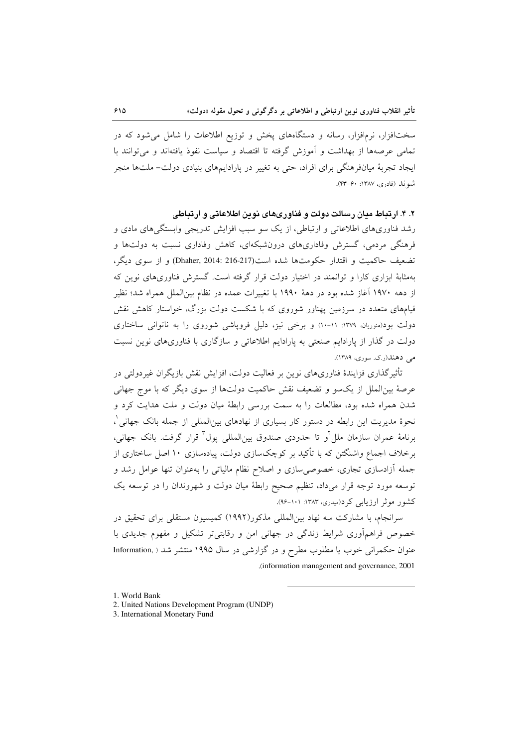سختافزار، نرمافزار، رسانه و دستگاههای پخش و توزیع اطلاعات را شامل میشود که در تمامی عرصهها از بهداشت و آموزش گرفته تا اقتصاد و سیاست نفوذ یافتهاند و می توانند با ایجاد تجربهٔ میانفرهنگی برای افراد، حتی به تغییر در پارادایمهای بنیادی دولت- ملتها منجر شونله (قادري، ١٣٨٧: ۶۰–۴۳).

۲. ۴. ارتباط مدان رسالت دولت و فناوریهای نوین اطلاعاتی و ارتباطی

رشد فناوریهای اطلاعاتی و ارتباطی، از یک سو سبب افزایش تدریجی وابستگیهای مادی و فرهنگی مردمی، گسترش وفاداریهای درونشبکهای، کاهش وفاداری نسبت به دولتها و تضعیف حاکمیت و اقتدار حکومتها شده است(217-216 :Dhaher, 2014) و از سوی دیگر، بهمثابهٔ ابزاری کارا و توانمند در اختیار دولت قرار گرفته است. گسترش فناوریهای نوین که از دهه ۱۹۷۰ آغاز شده بود در دههٔ ۱۹۹۰ با تغییرات عمده در نظام بینالملل همراه شد؛ نظیر قیامهای متعدد در سرزمین پهناور شوروی که با شکست دولت بزرگ، خواستار کاهش نقش دولت بود(منوریان، ۱۳۷۹: ۱۱-۱۰) و برخی نیز، دلیل فروپاشی شوروی را به ناتوانی ساختاری دولت در گذار از پارادایم صنعتی به پارادایم اطلاعاتی و سازگاری با فناوریهای نوین نسبت مي دهند(ر.ک. سوري، ۱۳۸۹).

تأثیر گذاری فزایندهٔ فناوریهای نوین بر فعالیت دولت، افزایش نقش بازیگران غیردولتی در عرصهٔ بینالملل از یکسو و تضعیف نقش حاکمیت دولتها از سوی دیگر که با موج جهانی شدن همراه شده بود، مطالعات را به سمت بررسی رابطهٔ میان دولت و ملت هدایت کرد و نحوهٔ مدیریت این رابطه در دستور کار بسیاری از نهادهای بین|لمللی از جمله بانک جهانی ْ، برنامهٔ عمران سازمان ملل<sup>7</sup>و تا حدودی صندوق بین|لملل<sub>ی</sub> یول<sup>۳</sup> قرار گرفت. بانک جهانی، برخلاف اجماع واشنگتن که با تأکید بر کوچکسازی دولت، پیادهسازی ۱۰ اصل ساختاری از جمله آزادسازی تجاری، خصوصی سازی و اصلاح نظام مالیاتی را بهعنوان تنها عوامل رشد و توسعه مورد توجه قرار میداد، تنظیم صحیح رابطهٔ میان دولت و شهروندان را در توسعه یک کشور موثر ارزیابی کرد(میدری، ۱۳۸۳: ۱۰۱-۹۶).

سرانجام، با مشارکت سه نهاد بینالمللی مذکور(۱۹۹۲) کمیسیون مستقلی برای تحقیق در خصوص فراهمآوری شرایط زندگی در جهانی امن و رقابتی تر تشکیل و مفهوم جدیدی با عنوان حکمرانی خوب یا مطلوب مطرح و در گزارشی در سال ۱۹۹۵ منتشر شد ( .Information (information management and governance, 2001).

<sup>1.</sup> World Bank

<sup>2.</sup> United Nations Development Program (UNDP)

<sup>3.</sup> International Monetary Fund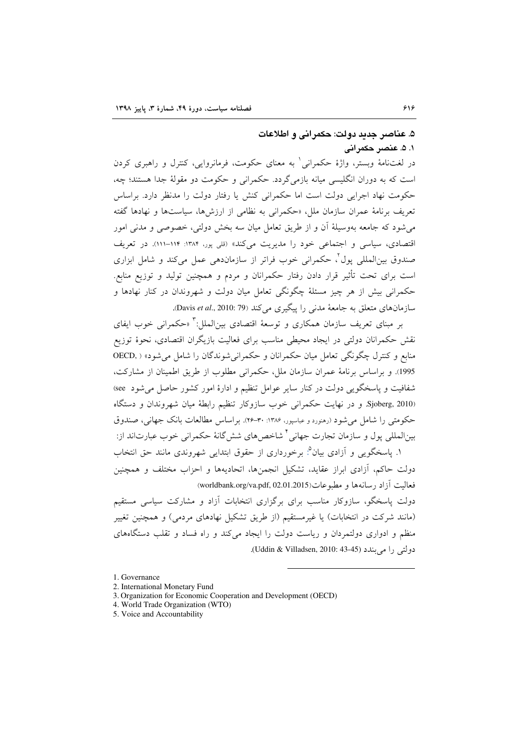## ۵. عناصر جدید دولت: حکمرانی و اطلاعات ١. ۵. عنصر حكمراني

در لغتنامهٔ وبستر، واژهٔ حکمرانی ٔ به معنای حکومت، فرمانروایی، کنترل و راهبری کردن است که به دوران انگلیسی میانه بازمیگردد. حکمرانی و حکومت دو مقولهٔ جدا هستند؛ چه، حکومت نهاد اجرایی دولت است اما حکمرانی کنش یا رفتار دولت را مدنظر دارد. براساس تعریف برنامهٔ عمران سازمان ملل، «حکمرانی به نظامی از ارزشها، سیاستها و نهادها گفته می شود که جامعه بهوسیلهٔ اَن و از طریق تعامل میان سه بخش دولتی، خصوصی و مدنی امور اقتصادی، سیاسی و اجتماعی خود را مدیریت میکند» (قلی پور، ۱۳۸۴: ۱۱۴-۱۱۱). در تعریف صندوق بین|لمللی پول<sup>۲</sup>، حکمرانی خوب فراتر از سازماندهی عمل میکند و شامل ابزاری است برای تحت تأثیر قرار دادن رفتار حکمرانان و مردم و همچنین تولید و توزیع منابع. حکمرانی بیش از هر چیز مسئلهٔ چگونگی تعامل میان دولت و شهروندان در کنار نهادها و سازمانهای متعلق به جامعهٔ مدنی را پیگیری میکند (Davis et al., 2010: 79).

بر مبنای تعریف سازمان همکاری و توسعهٔ اقتصادی بین|لملل:<sup>۳</sup> «حکمرانی خوب ایفای نقش حکمرانان دولتی در ایجاد محیطی مناسب برای فعالیت بازیگران اقتصادی، نحوهٔ توزیع منابع و کنترل چگونگی تعامل میان حکمرانان و حکمرانی شوندگان را شامل می شود» ( OECD, 1995). و براساس برنامهٔ عمران سازمان ملل، حکمرانی مطلوب از طریق اطمینان از مشارکت، شفافیت و پاسخگویی دولت در کنار سایر عوامل تنظیم و ادارهٔ امور کشور حاصل می شود see) Sjoberg, 2010. و در نهایت حکمرانی خوب سازوکار تنظیم رابطهٔ میان شهروندان و دستگاه حکومتی را شامل می شود (رهنورد و عباسیور، ۱۳۸۶: ۳۰–۲۶). بر اساس مطالعات بانک جهانی، صندوق بین|لمللی یول و سازمان تجارت جهانی ٔ شاخص های شش گانهٔ حکمرانی خوب عبارت|ند از: ١. ياسخگويي و أزادي بيان°: برخورداري از حقوق ابتدايي شهروندي مانند حق انتخاب

دولت حاکم، آزادی ابراز عقاید، تشکیل انجمنها، اتحادیهها و احزاب مختلف و همچنین (worldbank.org/va.pdf, 02.01.2015) فعاليت أزاد رسانهها و مطبوعات

دولت پاسخگو، سازوکار مناسب برای برگزاری انتخابات آزاد و مشارکت سیاسی مستقیم (مانند شرکت در انتخابات) یا غیرمستقیم (از طریق تشکیل نهادهای مردمی) و همچنین تغییر منظم و ادواری دولتمردان و ریاست دولت را ایجاد میکند و راه فساد و تقلب دستگاههای دولتی را میں بندد (Uddin & Villadsen, 2010: 43-45).

<sup>1.</sup> Governance

<sup>2.</sup> International Monetary Fund

<sup>3.</sup> Organization for Economic Cooperation and Development (OECD)

<sup>4.</sup> World Trade Organization (WTO)

<sup>5.</sup> Voice and Accountability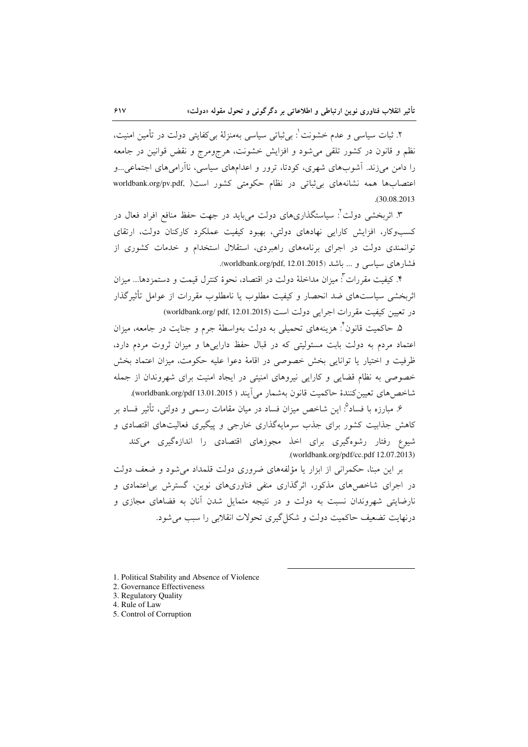۲. ثبات سیاسی و عدم خشونت ٰ: بی¢باتی سیاسی بهمنزلهٔ بی کفایتی دولت در تأمین امنیت، نظم و قانون در کشور تلقی می شود و افزایش خشونت، هرجومرج و نقض قوانین در جامعه را دامن می(زند. آشوبهای شهری، کودتا، ترور و اعدامهای سیاسی، ناآرامیهای اجتماعی…و اعتصابها همه نشانههای بی ثباتی در نظام حکومتی کشور است( worldbank.org/pv.pdf,  $.30.08.2013$ 

۳. اثربخشی دولت<sup>۲</sup>: سیاستگذاریهای دولت می<sub>ی</sub>باید در جهت حفظ منافع افراد فعال در کسبوکار، افزایش کارایی نهادهای دولتی، بهبود کیفیت عملکرد کارکنان دولت، ارتقای توانمندی دولت در اجرای برنامههای راهبردی، استقلال استخدام و خدمات کشوری از فشارهای سیاسی و ... باشد (worldbank.org/pdf, 12.01.2015).

۴. كيفيت مقررات": ميزان مداخلهٔ دولت در اقتصاد، نحوهٔ كنترل قيمت و دستمزدها... ميزان اثربخشی سیاستهای ضد انحصار و کیفیت مطلوب یا نامطلوب مقررات از عوامل تأثیرگذار در تعیین کیفیت مقررات اجرایی دولت است (worldbank.org/ pdf, 12.01.2015)

۵. حاکمیت قانون ٔ: هزینههای تحمیلی به دولت بهواسطهٔ جرم و جنایت در جامعه، میزان اعتماد مردم به دولت بابت مسئولیتی که در قبال حفظ دارایی ها و میزان ثروت مردم دارد، ظرفيت و اختيار يا توانايي بخش خصوصي در اقامهٔ دعوا عليه حكومت، ميزان اعتماد بخش خصوصی به نظام قضایی و کارایی نیروهای امنیتی در ایجاد امنیت برای شهروندان از جمله شاخص هاي تعيين كنندة حاكميت قانون بهشمار مي آيند ( worldbank.org/pdf 13.01.2015).

۶. مبارزه با فساد<sup>۹</sup>: این شاخص میزان فساد در میان مقامات رسمی و دولتی، تأثیر فساد بر کاهش جذابیت کشور برای جذب سرمایهگذاری خارجی و پیگیری فعالیتهای اقتصادی و شیوع رفتار رشوهگیری برای اخذ مجوزهای اقتصادی را اندازهگیری میکند .(worldbank.org/pdf/cc.pdf 12.07.2013)

بر این مبنا، حکمرانی از ابزار یا مؤلفههای ضروری دولت قلمداد می شود و ضعف دولت در اجرای شاخص های مذکور، اثرگذاری منفی فناوریهای نوین، گسترش بی|عتمادی و نارضایتی شهروندان نسبت به دولت و در نتیجه متمایل شدن آنان به فضاهای مجازی و درنهایت تضعیف حاکمیت دولت و شکل گیری تحولات انقلابی را سبب می شود.

- 1. Political Stability and Absence of Violence
- 2. Governance Effectiveness
- 3. Regulatory Quality
- 4. Rule of Law
- 5. Control of Corruption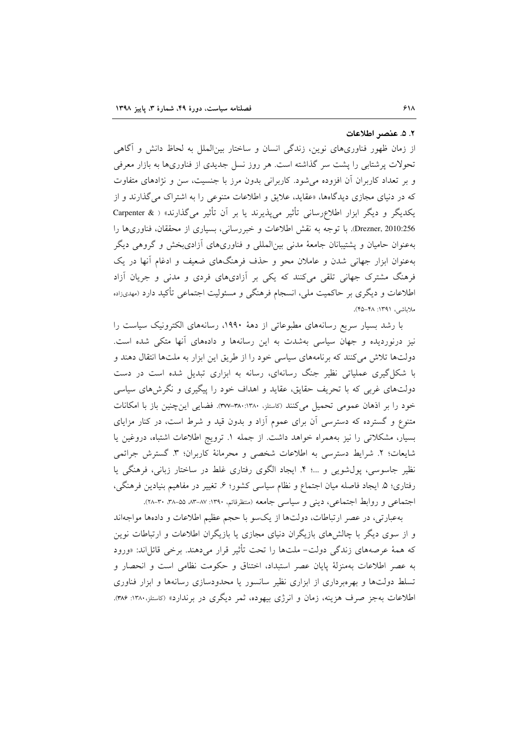#### ٢. ۵. عنصر اطلاعات

از زمان ظهور فناوریهای نوین، زندگی انسان و ساختار بین|لملل به لحاظ دانش و آگاهی تحولات پرشتابی را پشت سر گذاشته است. هر روز نسل جدیدی از فناوریها به بازار معرفی و بر تعداد کاربران آن افزوده می شود. کاربرانی بدون مرز با جنسیت، سن و نژادهای متفاوت که در دنیای مجازی دیدگاهها، «عقاید، علایق و اطلاعات متنوعی را به اشتراک میگذارند و از یکدیگر و دیگر ابزار اطلاع رسانی تأثیر می پذیرند یا بر آن تأثیر میگذارند» ( & Carpenter Drezner, 2010:256. با توجه به نقش اطلاعات و خبررسانی، بسیاری از محققان، فناوریها را بهعنوان حامیان و پشتیبانان جامعهٔ مدنی بین|لمللی و فناوریهای آزادیبخش و گروهی دیگر بهعنوان ابزار جهانی شدن و عاملان محو و حذف فرهنگهای ضعیف و ادغام آنها در یک فرهنگ مشترک جهانی تلقی میکنند که یکی بر آزادیهای فردی و مدنی و جریان آزاد اطلاعات و دیگری بر حاکمیت ملی، انسجام فرهنگی و مسئولیت اجتماعی تأکید دارد (مهدیزاده ملاياشي، ١٣٩١: ۴۵–۴۵).

با رشد بسیار سریع رسانههای مطبوعاتی از دههٔ ۱۹۹۰، رسانههای الکترونیک سیاست را نیز درنوردیده و جهان سیاسی بهشدت به این رسانهها و دادههای آنها متکی شده است. دولتها تلاش میکنند که برنامههای سیاسی خود را از طریق این ابزار به ملتها انتقال دهند و با شکل گیری عملیاتی نظیر جنگ رسانهای، رسانه به ابزاری تبدیل شده است در دست دولتهای غربی که با تحریف حقایق، عقاید و اهداف خود را پیگیری و نگرشهای سیاسی خود را بر اذهان عمومی تحمیل می کنند (کاستلز، ۳۸۰:۱۳۸۰–۳۷۷). فضایی این چنین باز با امکانات متنوع و گسترده که دسترسی آن برای عموم آزاد و بدون قید و شرط است، در کنار مزایای بسیار، مشکلاتی را نیز بههمراه خواهد داشت. از جمله ١. ترویج اطلاعات اشتباه، دروغین یا شايعات؛ ٢. شرايط دسترسي به اطلاعات شخصي و محرمانهٔ كاربران؛ ٣. گسترش جرائمي نظیر جاسوسی، پول شویی و …؛ ۴. ایجاد الگوی رفتاری غلط در ساختار زبانی، فرهنگی یا رفتاری؛ ۵. ایجاد فاصله میان اجتماع و نظام سیاسی کشور؛ ۶. تغییر در مفاهیم بنیادین فرهنگی، اجتماعی و روابط اجتماعی، دینی و سیاسی جامعه (منتظرفائم، ۱۳۹۰: ۸۷-۸۳، ۵۵-۳۸، ۳۰-۲۸٪.

بهعبارتی، در عصر ارتباطات، دولتها از یکسو با حجم عظیم اطلاعات و دادهها مواجهاند و از سوی دیگر با چالش های بازیگران دنیای مجازی یا بازیگران اطلاعات و ارتباطات نوین که همهٔ عرصههای زندگی دولت- ملتها را تحت تأثیر قرار میدهند. برخی قائل اند: «ورود به عصر اطلاعات بهمنزلة پایان عصر استبداد، اختناق و حکومت نظامی است و انحصار و تسلط دولتها و بهرهبرداری از ابزاری نظیر سانسور یا محدودسازی رسانهها و ابزار فناوری اطلاعات بهجز صرف هزینه، زمان و انرژی بیهوده، ثمر دیگری در برندارد» (کاستلز،۱۳۸۰: ۳۸۶).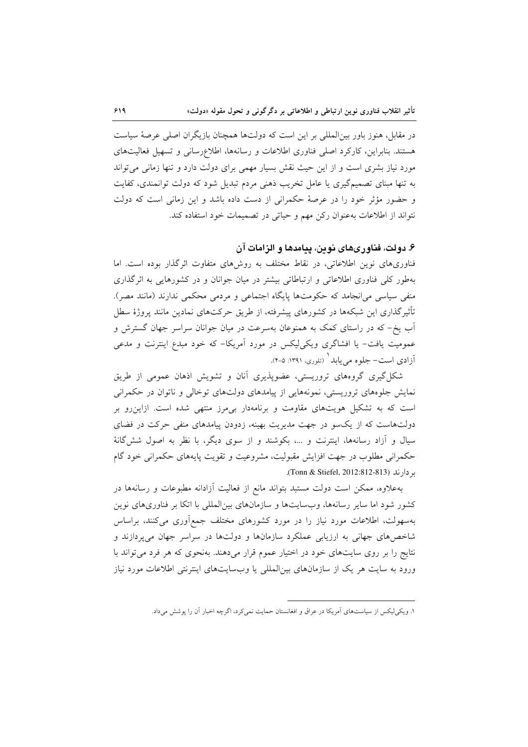در مقابل، هنوز باور بین|لمللی بر این است که دولتها همچنان بازیگران اصلی عرصهٔ سیاست هستند. بنابراین، کارکرد اصلی فناوری اطلاعات و رسانهها، اطلاعرسانی و تسهیل فعالیتهای مورد نیاز بشری است و از این حیث نقش بسیار مهمی برای دولت دارد و تنها زمانی می تواند به تنها مبنای تصمیمگیری یا عامل تخریب ذهنی مردم تبدیل شود که دولت توانمندی، کفایت و حضور مؤثر خود را در عرصهٔ حکمرانی از دست داده باشد و این زمانی است که دولت نتواند از اطلاعات بهعنوان رکن مهم و حیاتی در تصمیمات خود استفاده کند.

## ۶. دولت، فناور یهای نوین، پیامدها و الزامات آن

فناوریهای نوین اطلاعاتی، در نقاط مختلف به روشهای متفاوت اثرگذار بوده است. اما بهطور کلی فناوری اطلاعاتی و ارتباطاتی بیشتر در میان جوانان و در کشورهایی به اثر گذاری منفی سیاسی می|نجامد که حکومتها پایگاه اجتماعی و مردمی محکمی ندارند (مانند مصر). تأثیرگذاری این شبکهها در کشورهای پیشرفته، از طریق حرکتهای نمادین مانند پروژهٔ سطل آب یخ- که در راستای کمک به همنوعان بهسرعت در میان جوانان سراسر جهان گسترش و عمومیت یافت- یا افشاگری ویکی لیکس در مورد آمریکا- که خود مبدع اینترنت و مدعی آزادی است- جلوه می یابد ( تلوری، ۱۳۹۱: ۵-۴).

شکل گیری گروههای تروریستی، عضوپذیری آنان و تشویش اذهان عمومی از طریق نمایش جلوههای تروریستی، نمونههایی از پیامدهای دولتهای توخالی و ناتوان در حکمرانی است که به تشکیل هویتهای مقاومت و برنامهدار بی مرز منتهی شده است. ازاین رو بر دولتهاست که از یکسو در جهت مدیریت بهینه، زدودن پیامدهای منفی حرکت در فضای سیال و اَزاد رسانهها، اینترنت و …، بکوشند و از سوی دیگر، با نظر به اصول شش گانهٔ حکمرانی مطلوب در جهت افزایش مقبولیت، مشروعیت و تقویت پایههای حکمرانی خود گام بر دارند (Tonn & Stiefel, 2012:812-813).

بهعلاوه، ممکن است دولت مستبد بتواند مانع از فعالیت أزادانه مطبوعات و رسانهها در کشور شود اما سایر رسانهها، وبسایتها و سازمانهای بین|لمللی با اتکا بر فناوریهای نوین بهسهولت، اطلاعات مورد نیاز را در مورد کشورهای مختلف جمع[وری میکنند، براساس شاخصهای جهانی به ارزیابی عملکرد سازمانها و دولتها در سراسر جهان میپردازند و نتایج را بر روی سایتهای خود در اختیار عموم قرار میدهند. بهنحوی که هر فرد می تواند با ورود به سایت هر یک از سازمانهای بین|لمللی یا وبسایتهای اینترنتی اطلاعات مورد نیاز

۱. ویکی لیکس از سیاستهای آمریکا در عراق و افغانستان حمایت نمی کرد، اگرچه اخبار آن را پوشش میداد.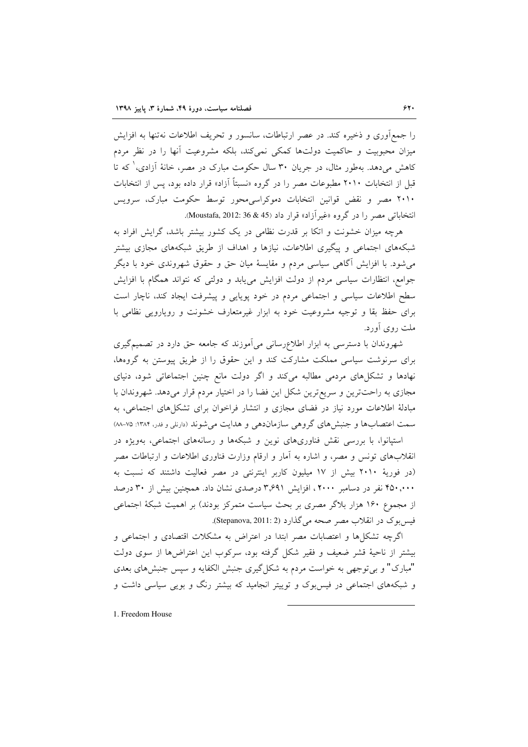را جمع[وری و ذخیره کند. در عصر ارتباطات، سانسور و تحریف اطلاعات نهتنها به افزایش میزان محبوبیت و حاکمیت دولتها کمکی نمی کند، بلکه مشروعیت آنها را در نظر مردم کاهش میدهد. بهطور مثال، در جریان ۳۰ سال حکومت مبارک در مصر، خانهٔ آزادی، که تا قبل از انتخابات ۲۰۱۰ مطبوعات مصر را در گروه «نسبتاً آزاد» قرار داده بود، پس از انتخابات ۲۰۱۰ مصر و نقض قوانین انتخابات دموکراسی محور توسط حکومت مبارک، سرویس انتخاباتی مصر را در گروه «غیرآزاد» قرار داد (45 & 36 :Moustafa, 2012).

هرچه میزان خشونت و اتکا بر قدرت نظامی در یک کشور بیشتر باشد، گرایش افراد به شبکههای اجتماعی و پیگیری اطلاعات، نیازها و اهداف از طریق شبکههای مجازی بیشتر میشود. با افزایش آگاهی سیاسی مردم و مقایسهٔ میان حق و حقوق شهروندی خود با دیگر جوامع، انتظارات سیاسی مردم از دولت افزایش می یابد و دولتی که نتواند همگام با افزایش سطح اطلاعات سیاسی و اجتماعی مردم در خود یوپایی و پیشرفت ایجاد کند، ناچار است برای حفظ بقا و توجیه مشروعیت خود به ابزار غیرمتعارف خشونت و رویارویی نظامی با ملت روی آورد.

شهروندان با دسترسی به ابزار اطلاع رسانی می آموزند که جامعه حق دارد در تصمیم گیری برای سرنوشت سیاسی مملکت مشارکت کند و این حقوق را از طریق پیوستن به گروهها، نهادها و تشکلهای مردمی مطالبه میکند و اگر دولت مانع چنین اجتماعاتی شود، دنیای مجازی به راحتترین و سریعترین شکل این فضا را در اختیار مردم قرار میدهد. شهروندان با مبادلهٔ اطلاعات مورد نیاز در فضای مجازی و انتشار فراخوان برای تشکلهای اجتماعی، به سمت اعتصابها و جنبش های گروهی سازماندهی و هدایت می شوند (دارنلی و فدر، ۱۳۸۴: ۷۵-۸۸

استپانوا، با بررسی نقش فناوریهای نوین و شبکهها و رسانههای اجتماعی، بهویژه در انقلابهای تونس و مصر، و اشاره به آمار و ارقام وزارت فناوری اطلاعات و ارتباطات مصر (در فوريهٔ ۲۰۱۰ بيش از ۱۷ ميليون كاربر اينترنتي در مصر فعاليت داشتند كه نسبت به ۴۵۰٬۰۰۰ نفر در دسامبر ۲۰۰۰، افزایش ۳٫۶۹۱ درصدی نشان داد. همچنین بیش از ۳۰ درصد از مجموع ۱۶۰ هزار بلاگر مصری بر بحث سیاست متمرکز بودند) بر اهمیت شبکهٔ اجتماعی فیس ہوک در انقلاب مصر صحه می گذارد (Stepanova, 2011: 2).

اگرچه تشکلها و اعتصابات مصر ابتدا در اعتراض به مشکلات اقتصادی و اجتماعی و بیشتر از ناحیهٔ قشر ضعیف و فقیر شکل گرفته بود، سرکوب این اعتراضها از سوی دولت "مبارک" و بی توجهی به خواست مردم به شکل گیری جنبش الکفایه و سپس جنبش های بعدی و شبکههای اجتماعی در فیس بوک و توییتر انجامید که بیشتر رنگ و بویی سیاسی داشت و

1. Freedom House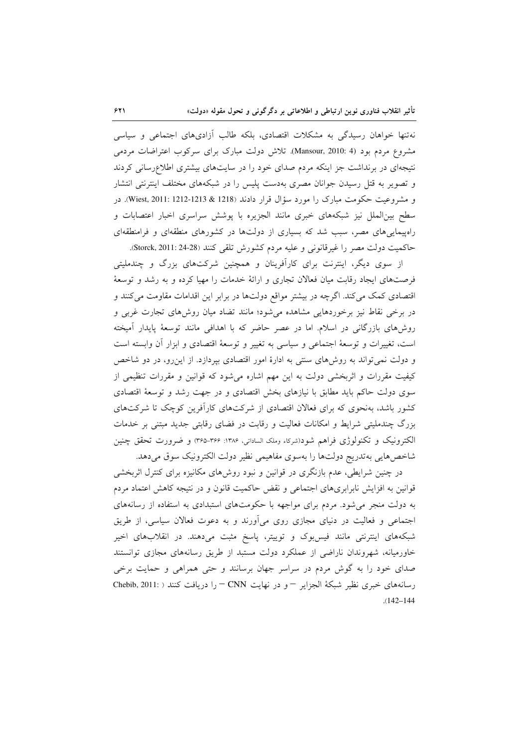نهتنها خواهان رسیدگی به مشکلات اقتصادی، بلکه طالب آزادیهای اجتماعی و سیاسی مشروع مردم بود (4 :Mansour, 2010). تلاش دولت مبارک برای سرکوب اعتراضات مردمی نتیجهای در برنداشت جز اینکه مردم صدای خود را در سایتهای بیشتری اطلاعرسانی کردند و تصویر به قتل رسیدن جوانان مصری بهدست پلیس را در شبکههای مختلف اینترنتی انتشار و مشروعیت حکومت مبارک را مورد سؤال قرار دادند (1218 & 1213-1212). در سطح بین|لملل نیز شبکههای خبری مانند الجزیره با پوشش سراسری اخبار اعتصابات و راهپیمایی های مصر، سبب شد که بسیاری از دولتها در کشورهای منطقهای و فرامنطقهای حاكميت دولت مصر را غيرقانوني و عليه مردم كشورش تلقى كنند (Storck, 2011: 24-28).

از سوی دیگر، اینترنت برای کارآفرینان و همچنین شرکتهای بزرگ و چندملیتی فرصتهای ایجاد رقابت میان فعالان تجاری و ارائهٔ خدمات را مهیا کرده و به رشد و توسعهٔ اقتصادی کمک می کند. اگرچه در بیشتر مواقع دولتها در برابر این اقدامات مقاومت می کنند و در برخی نقاط نیز برخوردهایی مشاهده میشود؛ مانند تضاد میان روشهای تجارت غربی و روشهای بازرگانی در اسلام. اما در عصر حاضر که با اهدافی مانند توسعهٔ پایدار آمیخته است، تغییرات و توسعهٔ اجتماعی و سیاسی به تغییر و توسعهٔ اقتصادی و ابزار آن وابسته است و دولت نمی تواند به روشهای سنتی به ادارهٔ امور اقتصادی بپردازد. از این رو، در دو شاخص کیفیت مقررات و اثربخشی دولت به این مهم اشاره میشود که قوانین و مقررات تنظیمی از سوی دولت حاکم باید مطابق با نیازهای بخش اقتصادی و در جهت رشد و توسعهٔ اقتصادی کشور باشد، بهنحوی که برای فعالان اقتصادی از شرکتهای کارآفرین کوچک تا شرکتهای بزرگ چندملیتی شرایط و امکانات فعالیت و رقابت در فضای رقابتی جدید مبتنی بر خدمات الکترونیک و تکنولوژی فراهم شود(شرکاء وملک الساداتی، ۱۳۸۶: ۳۶۵-۳۶۵) و ضرورت تحقق چنین شاخصهایی بهتدریج دولتها را بهسوی مفاهیمی نظیر دولت الکترونیک سوق میدهد.

در چنین شرایطی، عدم بازنگری در قوانین و نبود روشهای مکانیزه برای کنترل اثربخشی قوانین به افزایش نابرابریهای اجتماعی و نقض حاکمیت قانون و در نتیجه کاهش اعتماد مردم به دولت منجر می شود. مردم برای مواجهه با حکومتهای استبدادی به استفاده از رسانههای اجتماعی و فعالیت در دنیای مجازی روی می[ورند و به دعوت فعالان سیاسی، از طریق شبکههای اینترنتی مانند فیس بوک و توییتر، پاسخ مثبت میدهند. در انقلابهای اخیر خاورمیانه، شهروندان ناراضی از عملکرد دولت مستبد از طریق رسانههای مجازی توانستند صدای خود را به گوش مردم در سراسر جهان برسانند و حتی همراهی و حمایت برخی رسانههای خبری نظیر شبکهٔ الجزایر – و در نهایت CNN – را دریافت کنند ( :Chebib, 2011  $(142 - 144)$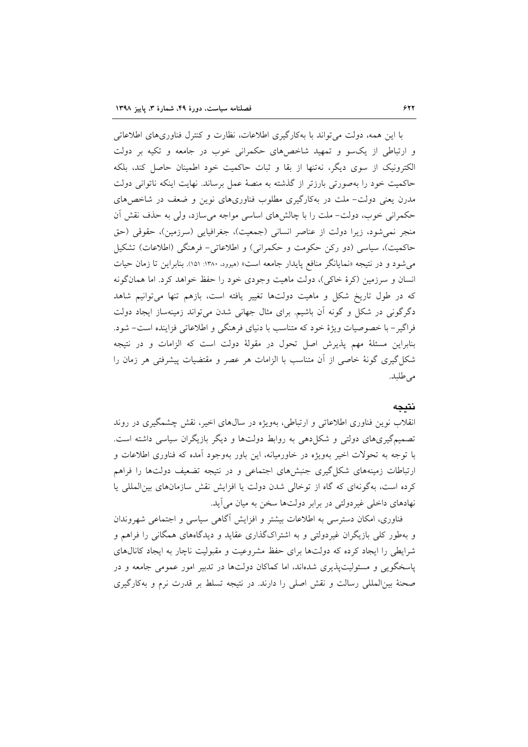با این همه، دولت می تواند با بهکارگیری اطلاعات، نظارت و کنترل فناوریهای اطلاعاتی و ارتباطی از یک سو و تمهید شاخص های حکمرانی خوب در جامعه و تکیه بر دولت الکترونیک از سوی دیگر، نهتنها از بقا و ثبات حاکمیت خود اطمینان حاصل کند، بلکه حاكميت خود را بهصورتي بارزتر از گذشته به منصهٔ عمل برساند. نهايت اينكه ناتواني دولت مدرن یعنی دولت– ملت در بهکارگیری مطلوب فناوریهای نوین و ضعف در شاخص های حکمرانی خوب، دولت- ملت را با چالشهای اساسی مواجه می سازد، ولی به حذف نقش آن منجر نمي شود، زيرا دولت از عناصر انساني (جمعيت)، جغرافيايي (سرزمين)، حقوقي (حق حاکمیت)، سیاسی (دو رکن حکومت و حکمرانی) و اطلاعاتی- فرهنگی (اطلاعات) تشکیل می شود و در نتیجه «نمایانگر منافع پایدار جامعه است» (میوود. ۱۳۸۰: ۱۵۱). بنابراین تا زمان حیات انسان و سرزمین (کرهٔ خاکی)، دولت ماهیت وجودی خود را حفظ خواهد کرد. اما همانگونه که در طول تاریخ شکل و ماهیت دولتها تغییر یافته است، بازهم تنها میتوانیم شاهد دگرگونی در شکل و گونه اَن باشیم. برای مثال جهانی شدن میتواند زمینهساز ایجاد دولت فراگیر- با خصوصیات ویژهٔ خود که متناسب با دنیای فرهنگی و اطلاعاتی فزاینده است- شود. بنابراین مسئلهٔ مهم پذیرش اصل تحول در مقولهٔ دولت است که الزامات و در نتیجه شکل گیری گونهٔ خاصی از آن متناسب با الزامات هر عصر و مقتضیات پیشرفتی هر زمان را مى طلبد.

#### نتىجە

انقلاب نوین فناوری اطلاعاتی و ارتباطی، بهویژه در سال های اخیر، نقش چشمگیری در روند تصمیمگیریهای دولتی و شکل دهی به روابط دولتها و دیگر بازیگران سیاسی داشته است. با توجه به تحولات اخیر بهویژه در خاورمیانه، این باور بهوجود آمده که فناوری اطلاعات و ارتباطات زمینههای شکل گیری جنبشهای اجتماعی و در نتیجه تضعیف دولتها را فراهم کرده است، بهگونهای که گاه از توخالی شدن دولت یا افزایش نقش سازمانهای بین المللی یا نهادهای داخلی غیردولتی در برابر دولتها سخن به میان می آید.

فناوری، امکان دسترسی به اطلاعات بیشتر و افزایش آگاهی سیاسی و اجتماعی شهروندان و بهطور کلّی بازیگران غیردولتی و به اشتراکگذاری عقاید و دیدگاههای همگانی را فراهم و شرایطی را ایجاد کرده که دولتها برای حفظ مشروعیت و مقبولیت ناچار به ایجاد کانالهای یاسخگویی و مسئولیت پذیری شدهاند، اما کماکان دولتها در تدبیر امور عمومی جامعه و در صحنهٔ بینالمللی رسالت و نقش اصلی را دارند. در نتیجه تسلط بر قدرت نرم و بهکارگیری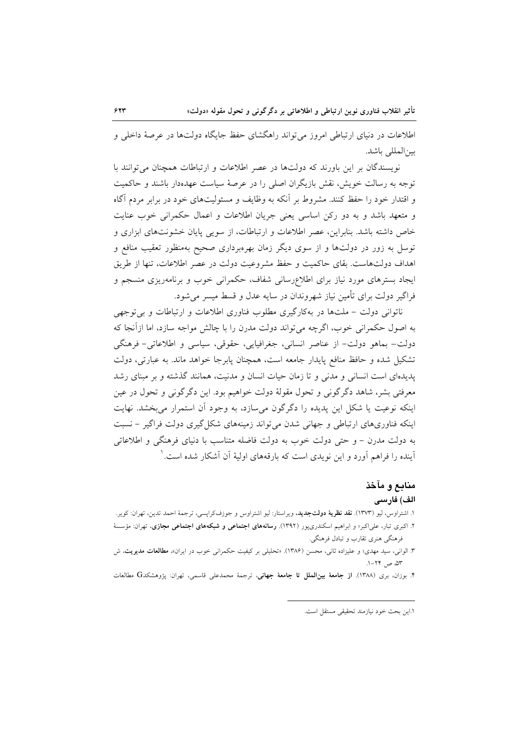اطلاعات در دنیای ارتباطی امروز می تواند راهگشای حفظ جایگاه دولتها در عرصهٔ داخلی و ىين المللي باشد.

نویسندگان بر این باورند که دولتها در عصر اطلاعات و ارتباطات همچنان می توانند با توجه به رسالت خویش، نقش بازیگران اصلی را در عرصهٔ سیاست عهدهدار باشند و حاکمیت و اقتدار خود را حفظ کنند. مشروط بر آنکه به وظایف و مسئولیتهای خود در برابر مردم آگاه و متعهد باشد و به دو رکن اساسی یعنی جریان اطلاعات و اعمال حکمرانی خوب عنایت خاص داشته باشد. بنابراین، عصر اطلاعات و ارتباطات، از سویی پایان خشونتهای ابزاری و توسل به زور در دولتها و از سوی دیگر زمان بهرهبرداری صحیح بهمنظور تعقیب منافع و اهداف دولتهاست. بقای حاکمیت و حفظ مشروعیت دولت در عصر اطلاعات، تنها از طریق ایجاد بسترهای مورد نیاز برای اطلاعررسانی شفاف، حکمرانی خوب و برنامهریزی منسجم و فراگیر دولت برای تأمین نیاز شهروندان در سایه عدل و قسط میسر می شود.

ناتوانی دولت - ملتها در بهکارگیری مطلوب فناوری اطلاعات و ارتباطات و بی توجهی به اصول حکمرانی خوب، اگرچه می تواند دولت مدرن را با چالش مواجه سازد، اما ازآنجا که دولت– بماهو دولت– از عناصر انسانی، جغرافیایی، حقوقی، سیاسی و اطلاعاتی– فرهنگی تشکیل شده و حافظ منافع پایدار جامعه است، همچنان پابرجا خواهد ماند. به عبارتی، دولت پدیدهای است انسانی و مدنی و تا زمان حیات انسان و مدنیت، همانند گذشته و بر مبنای رشد معرفتی بشر، شاهد دگرگونی و تحول مقولهٔ دولت خواهیم بود. این دگرگونی و تحول در عین اینکه نوعیت یا شکل این پدیده را دگرگون می سازد، به وجود آن استمرار می بخشد. نهایت اینکه فناوریهای ارتباطی و جهانی شدن می تواند زمینههای شکل گیری دولت فراگیر – نسبت به دولت مدرن – و حتى دولت خوب به دولت فاضله متناسب با دنیای فرهنگی و اطلاعاتی آینده را فراهم آورد و این نویدی است که بارقههای اولیهٔ آن آشکار شده است. ٰ

# منابع و مآخذ الف) فارسى

- ۱. اشتراوس، لیو (۱۳۷۳). **نقد نظریهٔ دولتجدید**، ویراستار: لیو اشتراوس و جوزفکراپسی، ترجمهٔ احمد تدین، تهران: کویر.
- ۲. اکبری تبار، علیاکبر؛ و ابراهیم اسکندری،پور (۱۳۹۲). **رسانههای اجتماعی و شبکههای اجتماعی مجازی**، تهران: مؤسسهٔ فرهنگی هنری تقارب و تبادل فرهنگی.
- ۳. الوانی، سید مهدی؛ و علیزاده ثانی، محسن (۱۳۸۶). «تحلیلی بر کیفیت حکمرانی خوب در ایران»، **مطالعات مدیریت**، ش ٥٣، ص ٢٢-١.
- ۴. بوزان، بری (۱۳۸۸). **از جامعهٔ بینالملل تا جامعهٔ جهانی**، ترجمهٔ محمدعلی قاسمی، تهران: پژوهشکدG مطالعات

١.اين بحث خود نيازمند تحقيقي مستقل است.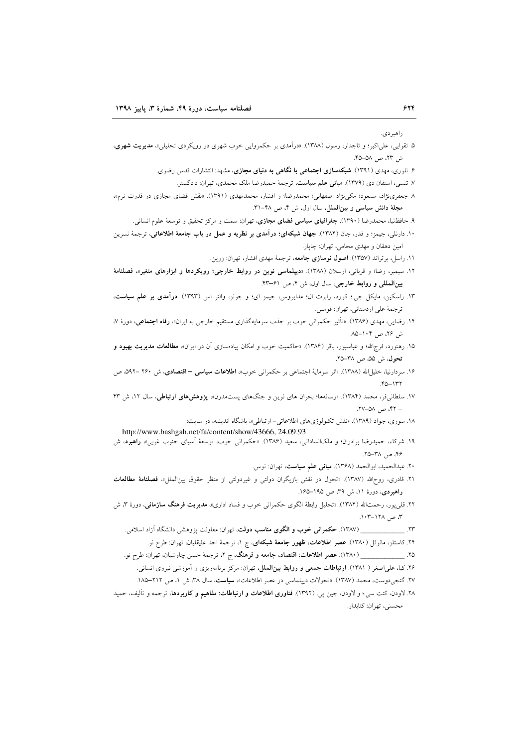ر اهير دي.

- ۵. تقوایی، علیاکبر؛ و تاجدار، رسول (۱۳۸۸). «درآمدی بر حکمروایی خوب شهری در رویکردی تحلیلی»، م**دیریت شهری**، ش ٢٣، ص ٥٨–۴۵.
	- ۶. تلوری، مهدی (۱۳۹۱). **شبکهسازی اجتماعی با نگاهی به دنیای مجازی**، مشهد: انتشارات قدس رضوی.
		- ۷. تنسی، استفان دی (۱۳۷۹). **مبانی علم سیاست**، ترجمهٔ حمیدرضا ملک محمدی، تهران: دادگستر.
- ۸ جعفرینژاد، مسعود؛ مکینژاد اصفهانی؛ محمدرضا؛ و افشار، محمدمهدی (۱۳۹۱). «نقش فضای مجازی در قدرت نرم»، مجلة دانش سياسي و بين الملل، سال اول، ش ۴، ص ۴۸-۳۱.
	- ۹. حافظنیا، محمدرضا (۱۳۹۰). **جغرافیای سیاسی فضای مجازی**، تهران: سمت و مرکز تحقیق و توسعهٔ علوم انسانی.
- ۱۰. دارنلي، جيمز؛ و فدر، جان (۱۳۸۴). **جهان شبكهاي؛ درآمدي بر نظريه و عمل در باب جامعهٔ اطلاعاتي**، ترجمهٔ نسرين امین دهقان و مهدی محامی، تهران: چایار.
	- ۱۱. راسل، برتراند (۱۳۵۷). اصول نوسازی جامعه، ترجمهٔ مهدی افشار، تهران: زرین.
- ۱۲. سیمبر، رضا؛ و قربانی، ارسلان (۱۳۸۸). «**دیپلماسی نوین در روابط خارجی؛ رویکردها و ابزارهای متغیر»، فصلنامهٔ** بینالمللی و روابط خارجی، سال اول، ش ۴، ص ۶۱–۴۳.
- ۱۳. راسکین، مایکل جی؛ کورد، رابرت ال؛ مدایروس، جیمز ای؛ و جونز، والتر اس (۱۳۹۳). **درآمدی بر علم سیاست**، ترجمة على اردستاني، تهران: قومس.
- ۱۴. رضایی، مهدی (۱۳۸۶). «تأثیر حکمرانی خوب بر جذب سرمایهگذاری مستقیم خارجی به ایران»، **رفاه اجتماعی**، دورهٔ ۷، ش ۲۶، ص ۱۰۴–۸۵
- ۱۵. رهنورد، فرجالله؛ و عباسپور، باقر (۱۳۸۶). «حاکمیت خوب و امکان پیادهسازی آن در ایران»، مطالعات مدیریت بهبود و تحول، ش ۵۵، ص ۳۸–۲۵.
- ۱۶. سردارنیا، خلیلالله (۱۳۸۸). «اثر سرمایهٔ اجتماعی بر حکمرانی خوب»، **اطلاعات سیاسی اقتصادی**، ش ۲۶۰ –۵۹۲ ص  $571 - 07.$
- ۱۷. سلطانیفر، محمد (۱۳۸۴). «رسانهها؛ بحران های نوین و جنگهای پستمدرن»، پژوهشهای ارتباطی، سال ۱۲، ش ۴۳ – ۴۲، ص ۵۸–۲۷.
	- ۱۸. سوری، جواد (۱۳۸۹). «نقش تکنولوژیهای اطلاعاتی- ارتباطی»، باشگاه اندیشه، در سایت:
- http://www.bashgah.net/fa/content/show/43666, 24.09.93 ۱۹. شرکاء، حمیدرضا برادران؛ و ملکالساداتی، سعید (۱۳۸۶). «حکمرانی خوب، توسعهٔ اسیای جنوب غربی»، **راهبرد**، ش ۴۶، ص ٣٨–٢۵.
	- ٢٠. عبدالحميد، ابوالحمد (١٣۶٨). مباني علم سياست، تهران: توس.
- ۲۱. قادری، روحالله (۱۳۸۷). «تحول در نقش بازیگران دولتی و غیردولتی از منظر حقوق بینالملل»، فصلنامهٔ مطالعات راهبردی، دورهٔ ۱۱، ش ۳۹ ص ۱۹۵–۱۶۵.
- ۲۲. قل<sub>ی </sub>پور، رحمت\لله (۱۳۸۴). «تحلیل رابطهٔ الگوی حکمران<sub>ی</sub> خوب و فساد اداری»، **مدیریت فرهنگ سازمانی**، دورهٔ ۳، ش ۳، ص ۱۲۸–۱۰۳.
	- - ۲۴. کاستلز، مانوئل (۱۳۸۰). **عصر اطلاعات، ظهور جامعهٔ شبکهای**، ج ۱، ترجمهٔ احد علیقلیان، تهران: طرح نو.
	- - ۲۶. کیا، علیاصغر ( ۱۳۸۱). **ارتباطات جمعی و روابط بین الملل**، تهران: مرکز برنامهریزی و آموزشی نیروی انسانی.
		- ٢٧. گنجي دوست، محمد (١٣٨٧). «تحولات ديبلماسي در عصر اطلاعات»، **سياست**، سال ٣٨، ش ١، ص ٢١٢–١٨٥.
- ۲۸. لاودن، کنت سی.؛ و لاودن، جین پی. (۱۳۹۲). فناوری اطلاعات و ارتباطات: مفاهیم و کاربردها، ترجمه و تألیف، حمید محسني، تهران: كتابدار.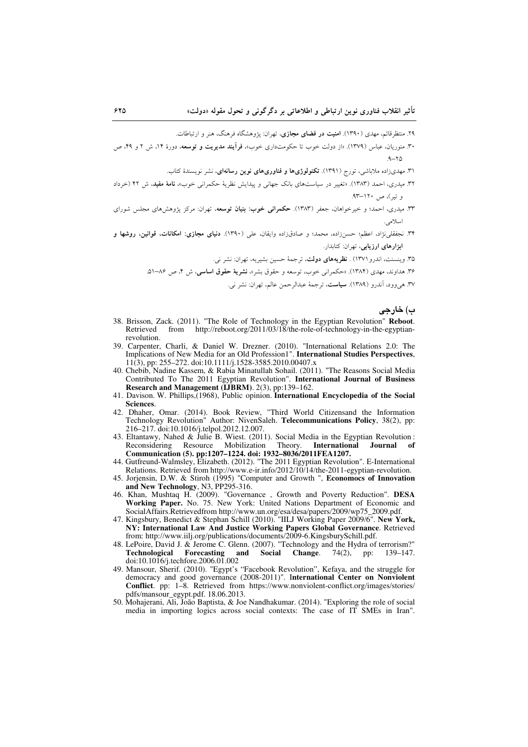۲۹. منتظرقائم، مهدی (۱۳۹۰). ا**منیت در فضای مجازی**، تهران: یژوهشگاه فرهنگ، هنر و ارتباطات.

۳۰. منوریان، عباس (۱۳۷۹). «از دولت خوب تا حکومتداری خوب»، فرآیند مدیریت و توسعه، دورهٔ ۱۴، ش ۲ و ۴۹، ص

۳۱. مهدیزاده ملاباشی، تورج (۱۳۹۱). **تکنولوژیها و فناوریهای نوین رسانه**ای، نشر نویسندهٔ کتاب.

- ۳۲. میدری، احمد (۱۳۸۳). «تغییر در سیاستهای بانک جهانی و پیدایش نظریهٔ حکمرانی خوب»، **نامهٔ مفید**، ش ۴۲ (خرداد و تبر)، ص ۱۲۰–۹۳.
- ۳۳. میدری، احمد؛ و خیرخواهان، جعفر (۱۳۸۳). **حکمرانی خوب: بنیان توسعه**، تهران: مرکز پژوهشهای مجلس شورای اسلامي.
- ۳۴. نجفقلینژاد، اعظم؛ حسنزاده، محمد؛ و صادق(اده وایقان، علی (۱۳۹۰). <mark>دنیای مجازی: امکانات، قوانین، روشها و</mark> ابزارهای ارزیابی، تهران: کتابدار.

۳۵. وینسنت، اندرو (۱۳۷۱) . **نظریههای دولت**، ترجمهٔ حسین بشیریه، تهران: نشر نی.

۳۶. هداوند، مهدی (۱۳۸۴). «حکمرانی خوب، توسعه و حقوق بشر»، **نشریهٔ حقوق اساسی**، ش ۴، ص ۸۶–۵۱.

٣٧. هي وود، آندرو (١٣٨٩). **سياست**، ترجمة عبدالرحمن عالم، تهران: نشر نبي.

ب) خارجي

- 38. Brisson, Zack. (2011). "The Role of Technology in the Egyptian Revolution" Reboot. from http://reboot.org/2011/03/18/the-role-of-technology-in-the-egyptian-Retrieved revolution.
- 39. Carpenter, Charli, & Daniel W. Drezner, (2010). "International Relations 2.0: The Implications of New Media for an Old Profession1". International Studies Perspectives,  $11(3)$ , pp: 255–272. doi:10.1111/j.1528-3585.2010.00407.x
- 40. Chebib, Nadine Kassem, & Rabia Minatullah Sohail. (2011). "The Reasons Social Media Contributed To The 2011 Egyptian Revolution". International Journal of Business Research and Management (IJBRM). 2(3), pp:139-162.
- 41. Davison. W. Phillips, (1968), Public opinion. International Encyclopedia of the Social Sciences.
- 42. Dhaher, Omar. (2014). Book Review, "Third World Citizensand the Information<br>Technology Revolution" Author: NivenSaleh. Telecommunications Policy, 38(2), pp: 216-217. doi:10.1016/j.telpol.2012.12.007.
- 43. Eltantawy, Nahed & Julie B. Wiest. (2011). Social Media in the Egyptian Revolution: Resource Mobilization Theory. International Reconsidering Journal of Communication (5). pp:1207-1224. doi: 1932-8036/2011FEA1207.
- 44. Gutfreund-Walmsley, Elizabeth. (2012). "The 2011 Egyptian Revolution". E-International Relations. Retrieved from http://www.e-ir.info/2012/10/14/the-2011-egyptian-revolution.
- 45. Jorjensin, D.W. & Stiroh (1995) "Computer and Growth ", Economocs of Innovation and New Technology, N3, PP295-316.
- 46. Khan, Mushtaq H. (2009). "Governance, Growth and Poverty Reduction". DESA Working Paper. No. 75. New York: United Nations Department of Economic and SocialAffairs.Retrievedfrom http://www.un.org/esa/desa/papers/2009/wp75\_2009.pdf.
- 47. Kingsbury, Benedict & Stephan Schill (2010). "IILJ Working Paper 2009/6". New York, NY: International Law And Justice Working Papers Global Governance. Retrieved from: http://www.iilj.org/publications/documents/2009-6.KingsburySchill.pdf.
- 48. LePoire, David J. & Jerome C. Glenn. (2007). "Technology and the Hydra of terrorism?" Technological Forecasting and Social Change.  $74(2)$ ,  $139 - 147$ . pp: doi:10.1016/j.techfore.2006.01.002
- 49. Mansour, Sherif. (2010). "Egypt's "Facebook Revolution", Kefaya, and the struggle for democracy and good governance (2008-2011)". International Center on Nonviolent Conflict. pp: 1-8. Retrieved from https://www.nonviolent-conflict.org/images/stories/ pdfs/mansour\_egypt.pdf. 18.06.2013.
- 50. Mohajerani, Ali, João Baptista, & Joe Nandhakumar. (2014). "Exploring the role of social media in importing logics across social contexts: The case of IT SMEs in Iran".